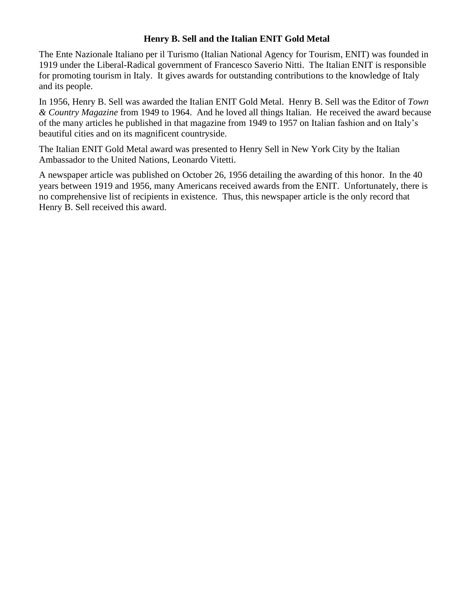## **Henry B. Sell and the Italian ENIT Gold Metal**

The Ente Nazionale Italiano per il Turismo (Italian National Agency for Tourism, ENIT) was founded in 1919 under the [Liberal-](https://en.wikipedia.org/wiki/Italian_Liberal_Party)[Radical](https://en.wikipedia.org/wiki/Italian_Radical_Party) government of [Francesco Saverio Nitti.](https://en.wikipedia.org/wiki/Francesco_Saverio_Nitti) The Italian ENIT is responsible for promoting [tourism in Italy.](https://en.wikipedia.org/wiki/Tourism_in_Italy) It gives awards for outstanding contributions to the knowledge of Italy and its people.

In 1956, Henry B. Sell was awarded the Italian ENIT Gold Metal. Henry B. Sell was the Editor of *Town & Country Magazine* from 1949 to 1964. And he loved all things Italian. He received the award because of the many articles he published in that magazine from 1949 to 1957 on Italian fashion and on Italy's beautiful cities and on its magnificent countryside.

The Italian ENIT Gold Metal award was presented to Henry Sell in New York City by the Italian Ambassador to the United Nations, Leonardo Vitetti.

A newspaper article was published on October 26, 1956 detailing the awarding of this honor. In the 40 years between 1919 and 1956, many Americans received awards from the ENIT. Unfortunately, there is no comprehensive list of recipients in existence. Thus, this newspaper article is the only record that Henry B. Sell received this award.